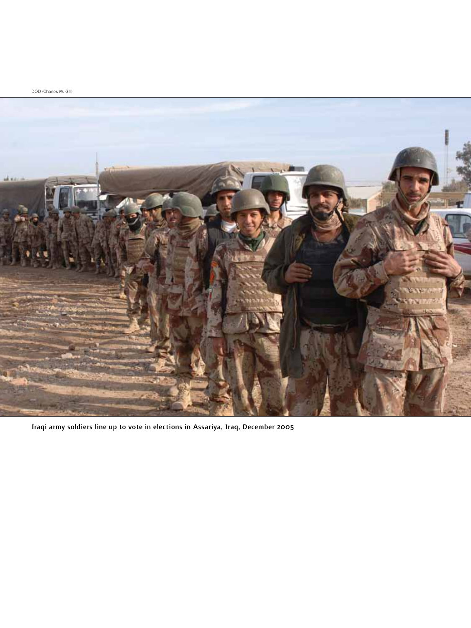DOD (Charles W. Gill)



Iraqi army soldiers line up to vote in elections in Assariya, Iraq, December 2005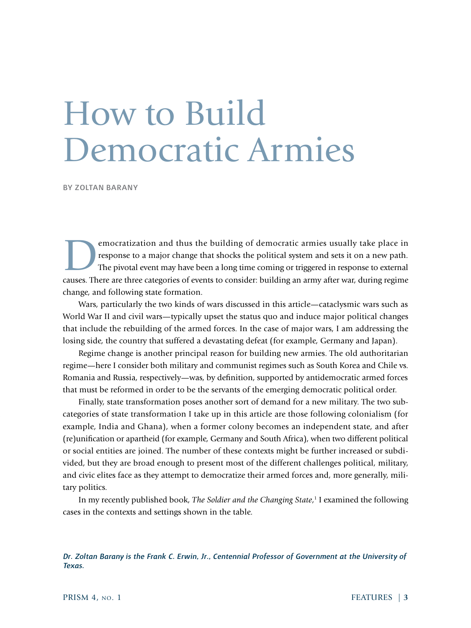# How to Build Democratic Armies

By zoltan barany

emocratization and thus the building of democratic armies usually take place in response to a major change that shocks the political system and sets it on a new path. The pivotal event may have been a long time coming or triggered in response to external causes. There are three categories of events to consider: building an army after war, during regime change, and following state formation.

Wars, particularly the two kinds of wars discussed in this article—cataclysmic wars such as World War II and civil wars—typically upset the status quo and induce major political changes that include the rebuilding of the armed forces. In the case of major wars, I am addressing the losing side, the country that suffered a devastating defeat (for example, Germany and Japan).

Regime change is another principal reason for building new armies. The old authoritarian regime—here I consider both military and communist regimes such as South Korea and Chile vs. Romania and Russia, respectively—was, by definition, supported by antidemocratic armed forces that must be reformed in order to be the servants of the emerging democratic political order.

Finally, state transformation poses another sort of demand for a new military. The two subcategories of state transformation I take up in this article are those following colonialism (for example, India and Ghana), when a former colony becomes an independent state, and after (re)unification or apartheid (for example, Germany and South Africa), when two different political or social entities are joined. The number of these contexts might be further increased or subdivided, but they are broad enough to present most of the different challenges political, military, and civic elites face as they attempt to democratize their armed forces and, more generally, military politics.

In my recently published book, *The Soldier and the Changing State*,<sup>1</sup> I examined the following cases in the contexts and settings shown in the table.

*Dr. Zoltan Barany is the Frank C. Erwin, Jr., Centennial Professor of Government at the University of Texas.*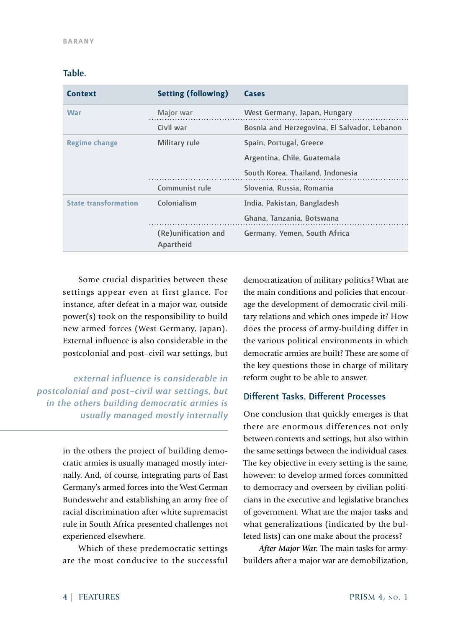| <b>Context</b>              | <b>Setting (following)</b>       | Cases                                        |
|-----------------------------|----------------------------------|----------------------------------------------|
| War                         | Major war                        | West Germany, Japan, Hungary                 |
|                             | Civil war                        | Bosnia and Herzegovina, El Salvador, Lebanon |
| Regime change               | Military rule                    | Spain, Portugal, Greece                      |
|                             |                                  | Argentina, Chile, Guatemala                  |
|                             |                                  | South Korea, Thailand, Indonesia             |
|                             | Communist rule                   | Slovenia, Russia, Romania                    |
| <b>State transformation</b> | Colonialism                      | India, Pakistan, Bangladesh                  |
|                             |                                  | Ghana, Tanzania, Botswana                    |
|                             | (Re)unification and<br>Apartheid | Germany, Yemen, South Africa                 |

## Table.

Some crucial disparities between these settings appear even at first glance. For instance, after defeat in a major war, outside power(s) took on the responsibility to build new armed forces (West Germany, Japan). External influence is also considerable in the postcolonial and post–civil war settings, but

*external influence is considerable in postcolonial and post–civil war settings, but in the others building democratic armies is usually managed mostly internally*

> in the others the project of building democratic armies is usually managed mostly internally. And, of course, integrating parts of East Germany's armed forces into the West German Bundeswehr and establishing an army free of racial discrimination after white supremacist rule in South Africa presented challenges not experienced elsewhere.

> Which of these predemocratic settings are the most conducive to the successful

democratization of military politics? What are the main conditions and policies that encourage the development of democratic civil-military relations and which ones impede it? How does the process of army-building differ in the various political environments in which democratic armies are built? These are some of the key questions those in charge of military reform ought to be able to answer.

## Different Tasks, Different Processes

One conclusion that quickly emerges is that there are enormous differences not only between contexts and settings, but also within the same settings between the individual cases. The key objective in every setting is the same, however: to develop armed forces committed to democracy and overseen by civilian politicians in the executive and legislative branches of government. What are the major tasks and what generalizations (indicated by the bulleted lists) can one make about the process?

*After Major War.* The main tasks for armybuilders after a major war are demobilization,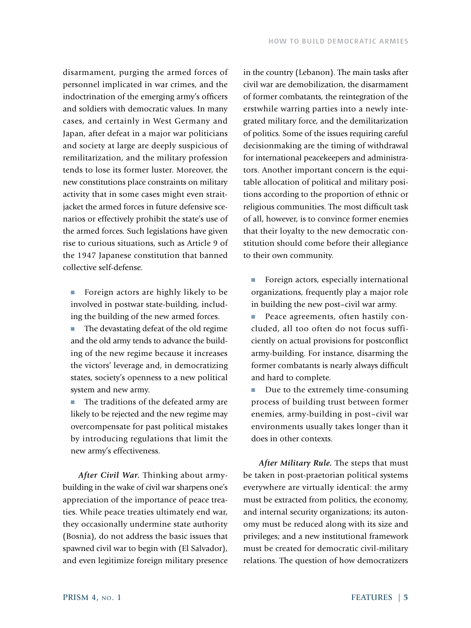disarmament, purging the armed forces of personnel implicated in war crimes, and the indoctrination of the emerging army's officers and soldiers with democratic values. In many cases, and certainly in West Germany and Japan, after defeat in a major war politicians and society at large are deeply suspicious of remilitarization, and the military profession tends to lose its former luster. Moreover, the new constitutions place constraints on military activity that in some cases might even straitjacket the armed forces in future defensive scenarios or effectively prohibit the state's use of the armed forces. Such legislations have given rise to curious situations, such as Article 9 of the 1947 Japanese constitution that banned collective self-defense.

■ Foreign actors are highly likely to be involved in postwar state-building, including the building of the new armed forces.

■ The devastating defeat of the old regime and the old army tends to advance the building of the new regime because it increases the victors' leverage and, in democratizing states, society's openness to a new political system and new army.

■ The traditions of the defeated army are likely to be rejected and the new regime may overcompensate for past political mistakes by introducing regulations that limit the new army's effectiveness.

*After Civil War.* Thinking about armybuilding in the wake of civil war sharpens one's appreciation of the importance of peace treaties. While peace treaties ultimately end war, they occasionally undermine state authority (Bosnia), do not address the basic issues that spawned civil war to begin with (El Salvador), and even legitimize foreign military presence

in the country (Lebanon). The main tasks after civil war are demobilization, the disarmament of former combatants, the reintegration of the erstwhile warring parties into a newly integrated military force, and the demilitarization of politics. Some of the issues requiring careful decisionmaking are the timing of withdrawal for international peacekeepers and administrators. Another important concern is the equitable allocation of political and military positions according to the proportion of ethnic or religious communities. The most difficult task of all, however, is to convince former enemies that their loyalty to the new democratic constitution should come before their allegiance to their own community.

- Foreign actors, especially international organizations, frequently play a major role in building the new post–civil war army.
- Peace agreements, often hastily concluded, all too often do not focus sufficiently on actual provisions for postconflict army-building. For instance, disarming the former combatants is nearly always difficult and hard to complete.
- Due to the extremely time-consuming process of building trust between former enemies, army-building in post–civil war environments usually takes longer than it does in other contexts.

*After Military Rule.* The steps that must be taken in post-praetorian political systems everywhere are virtually identical: the army must be extracted from politics, the economy, and internal security organizations; its autonomy must be reduced along with its size and privileges; and a new institutional framework must be created for democratic civil-military relations. The question of how democratizers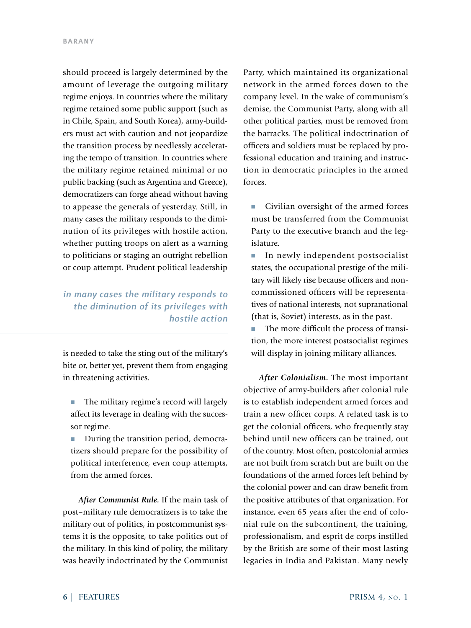should proceed is largely determined by the amount of leverage the outgoing military regime enjoys. In countries where the military regime retained some public support (such as in Chile, Spain, and South Korea), army-builders must act with caution and not jeopardize the transition process by needlessly accelerating the tempo of transition. In countries where the military regime retained minimal or no public backing (such as Argentina and Greece), democratizers can forge ahead without having to appease the generals of yesterday. Still, in many cases the military responds to the diminution of its privileges with hostile action, whether putting troops on alert as a warning to politicians or staging an outright rebellion or coup attempt. Prudent political leadership

## *in many cases the military responds to the diminution of its privileges with hostile action*

is needed to take the sting out of the military's bite or, better yet, prevent them from engaging in threatening activities.

- The military regime's record will largely affect its leverage in dealing with the successor regime.
- During the transition period, democratizers should prepare for the possibility of political interference, even coup attempts, from the armed forces.

*After Communist Rule.* If the main task of post–military rule democratizers is to take the military out of politics, in postcommunist systems it is the opposite, to take politics out of the military. In this kind of polity, the military was heavily indoctrinated by the Communist

Party, which maintained its organizational network in the armed forces down to the company level. In the wake of communism's demise, the Communist Party, along with all other political parties, must be removed from the barracks. The political indoctrination of officers and soldiers must be replaced by professional education and training and instruction in democratic principles in the armed forces.

■ Civilian oversight of the armed forces must be transferred from the Communist Party to the executive branch and the legislature.

■ In newly independent postsocialist states, the occupational prestige of the military will likely rise because officers and noncommissioned officers will be representatives of national interests, not supranational (that is, Soviet) interests, as in the past.

The more difficult the process of transition, the more interest postsocialist regimes will display in joining military alliances.

*After Colonialism.* The most important objective of army-builders after colonial rule is to establish independent armed forces and train a new officer corps. A related task is to get the colonial officers, who frequently stay behind until new officers can be trained, out of the country. Most often, postcolonial armies are not built from scratch but are built on the foundations of the armed forces left behind by the colonial power and can draw benefit from the positive attributes of that organization. For instance, even 65 years after the end of colonial rule on the subcontinent, the training, professionalism, and esprit de corps instilled by the British are some of their most lasting legacies in India and Pakistan. Many newly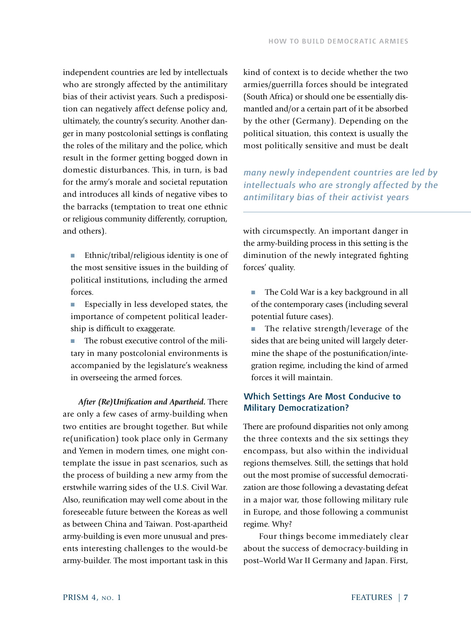independent countries are led by intellectuals who are strongly affected by the antimilitary bias of their activist years. Such a predisposition can negatively affect defense policy and, ultimately, the country's security. Another danger in many postcolonial settings is conflating the roles of the military and the police, which result in the former getting bogged down in domestic disturbances. This, in turn, is bad for the army's morale and societal reputation and introduces all kinds of negative vibes to the barracks (temptation to treat one ethnic or religious community differently, corruption, and others).

- Ethnic/tribal/religious identity is one of the most sensitive issues in the building of political institutions, including the armed forces.
- Especially in less developed states, the importance of competent political leadership is difficult to exaggerate.
- The robust executive control of the military in many postcolonial environments is accompanied by the legislature's weakness in overseeing the armed forces.

*After (Re)Unification and Apartheid.* There are only a few cases of army-building when two entities are brought together. But while re(unification) took place only in Germany and Yemen in modern times, one might contemplate the issue in past scenarios, such as the process of building a new army from the erstwhile warring sides of the U.S. Civil War. Also, reunification may well come about in the foreseeable future between the Koreas as well as between China and Taiwan. Post-apartheid army-building is even more unusual and presents interesting challenges to the would-be army-builder. The most important task in this kind of context is to decide whether the two armies/guerrilla forces should be integrated (South Africa) or should one be essentially dismantled and/or a certain part of it be absorbed by the other (Germany). Depending on the political situation, this context is usually the most politically sensitive and must be dealt

*many newly independent countries are led by intellectuals who are strongly affected by the antimilitary bias of their activist years*

with circumspectly. An important danger in the army-building process in this setting is the diminution of the newly integrated fighting forces' quality.

- The Cold War is a key background in all of the contemporary cases (including several potential future cases).
- The relative strength/leverage of the sides that are being united will largely determine the shape of the postunification/integration regime, including the kind of armed forces it will maintain.

## Which Settings Are Most Conducive to Military Democratization?

There are profound disparities not only among the three contexts and the six settings they encompass, but also within the individual regions themselves. Still, the settings that hold out the most promise of successful democratization are those following a devastating defeat in a major war, those following military rule in Europe, and those following a communist regime. Why?

Four things become immediately clear about the success of democracy-building in post–World War II Germany and Japan. First,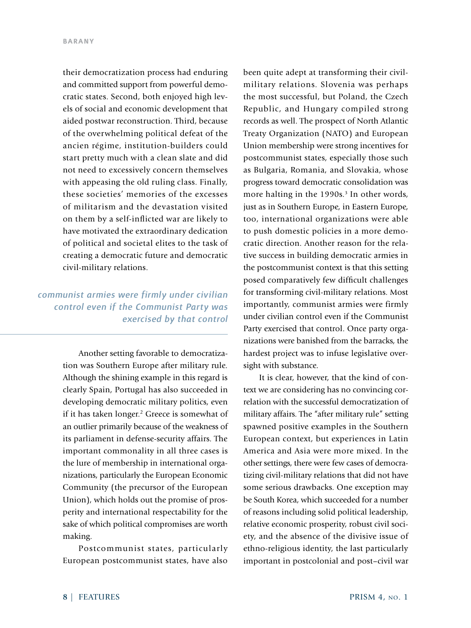their democratization process had enduring and committed support from powerful democratic states. Second, both enjoyed high levels of social and economic development that aided postwar reconstruction. Third, because of the overwhelming political defeat of the ancien régime, institution-builders could start pretty much with a clean slate and did not need to excessively concern themselves with appeasing the old ruling class. Finally, these societies' memories of the excesses of militarism and the devastation visited on them by a self-inflicted war are likely to have motivated the extraordinary dedication of political and societal elites to the task of creating a democratic future and democratic civil-military relations.

*communist armies were firmly under civilian control even if the Communist Party was exercised by that control*

> Another setting favorable to democratization was Southern Europe after military rule. Although the shining example in this regard is clearly Spain, Portugal has also succeeded in developing democratic military politics, even if it has taken longer.<sup>2</sup> Greece is somewhat of an outlier primarily because of the weakness of its parliament in defense-security affairs. The important commonality in all three cases is the lure of membership in international organizations, particularly the European Economic Community (the precursor of the European Union), which holds out the promise of prosperity and international respectability for the sake of which political compromises are worth making.

> Postcommunist states, particularly European postcommunist states, have also

been quite adept at transforming their civilmilitary relations. Slovenia was perhaps the most successful, but Poland, the Czech Republic, and Hungary compiled strong records as well. The prospect of North Atlantic Treaty Organization (NATO) and European Union membership were strong incentives for postcommunist states, especially those such as Bulgaria, Romania, and Slovakia, whose progress toward democratic consolidation was more halting in the 1990s.<sup>3</sup> In other words, just as in Southern Europe, in Eastern Europe, too, international organizations were able to push domestic policies in a more democratic direction. Another reason for the relative success in building democratic armies in the postcommunist context is that this setting posed comparatively few difficult challenges for transforming civil-military relations. Most importantly, communist armies were firmly under civilian control even if the Communist Party exercised that control. Once party organizations were banished from the barracks, the hardest project was to infuse legislative oversight with substance.

It is clear, however, that the kind of context we are considering has no convincing correlation with the successful democratization of military affairs. The "after military rule" setting spawned positive examples in the Southern European context, but experiences in Latin America and Asia were more mixed. In the other settings, there were few cases of democratizing civil-military relations that did not have some serious drawbacks. One exception may be South Korea, which succeeded for a number of reasons including solid political leadership, relative economic prosperity, robust civil society, and the absence of the divisive issue of ethno-religious identity, the last particularly important in postcolonial and post–civil war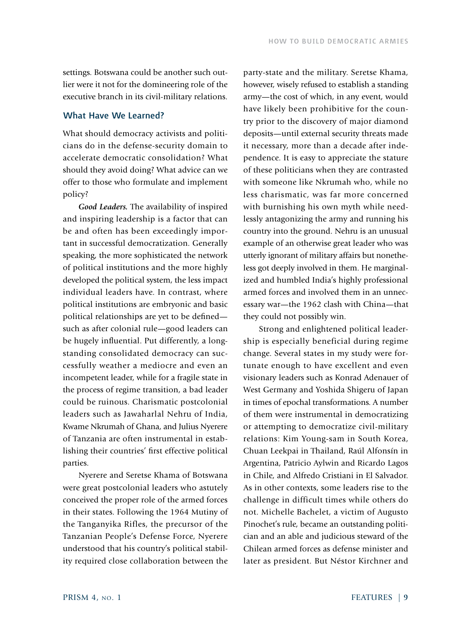settings. Botswana could be another such outlier were it not for the domineering role of the executive branch in its civil-military relations.

#### What Have We Learned?

What should democracy activists and politicians do in the defense-security domain to accelerate democratic consolidation? What should they avoid doing? What advice can we offer to those who formulate and implement policy?

*Good Leaders.* The availability of inspired and inspiring leadership is a factor that can be and often has been exceedingly important in successful democratization. Generally speaking, the more sophisticated the network of political institutions and the more highly developed the political system, the less impact individual leaders have. In contrast, where political institutions are embryonic and basic political relationships are yet to be defined such as after colonial rule—good leaders can be hugely influential. Put differently, a longstanding consolidated democracy can successfully weather a mediocre and even an incompetent leader, while for a fragile state in the process of regime transition, a bad leader could be ruinous. Charismatic postcolonial leaders such as Jawaharlal Nehru of India, Kwame Nkrumah of Ghana, and Julius Nyerere of Tanzania are often instrumental in establishing their countries' first effective political parties.

Nyerere and Seretse Khama of Botswana were great postcolonial leaders who astutely conceived the proper role of the armed forces in their states. Following the 1964 Mutiny of the Tanganyika Rifles, the precursor of the Tanzanian People's Defense Force, Nyerere understood that his country's political stability required close collaboration between the party-state and the military. Seretse Khama, however, wisely refused to establish a standing army—the cost of which, in any event, would have likely been prohibitive for the country prior to the discovery of major diamond deposits—until external security threats made it necessary, more than a decade after independence. It is easy to appreciate the stature of these politicians when they are contrasted with someone like Nkrumah who, while no less charismatic, was far more concerned with burnishing his own myth while needlessly antagonizing the army and running his country into the ground. Nehru is an unusual example of an otherwise great leader who was utterly ignorant of military affairs but nonetheless got deeply involved in them. He marginalized and humbled India's highly professional armed forces and involved them in an unnecessary war—the 1962 clash with China—that they could not possibly win.

Strong and enlightened political leadership is especially beneficial during regime change. Several states in my study were fortunate enough to have excellent and even visionary leaders such as Konrad Adenauer of West Germany and Yoshida Shigeru of Japan in times of epochal transformations. A number of them were instrumental in democratizing or attempting to democratize civil-military relations: Kim Young-sam in South Korea, Chuan Leekpai in Thailand, Raúl Alfonsín in Argentina, Patricio Aylwin and Ricardo Lagos in Chile, and Alfredo Cristiani in El Salvador. As in other contexts, some leaders rise to the challenge in difficult times while others do not. Michelle Bachelet, a victim of Augusto Pinochet's rule, became an outstanding politician and an able and judicious steward of the Chilean armed forces as defense minister and later as president. But Néstor Kirchner and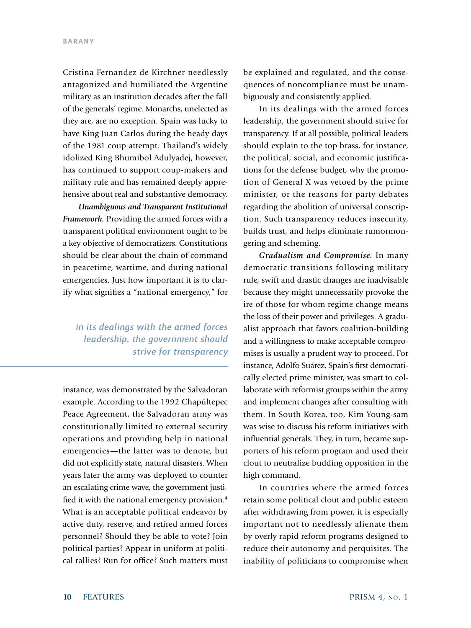Cristina Fernandez de Kirchner needlessly antagonized and humiliated the Argentine military as an institution decades after the fall of the generals' regime. Monarchs, unelected as they are, are no exception. Spain was lucky to have King Juan Carlos during the heady days of the 1981 coup attempt. Thailand's widely idolized King Bhumibol Adulyadej, however, has continued to support coup-makers and military rule and has remained deeply apprehensive about real and substantive democracy.

*Unambiguous and Transparent Institutional Framework.* Providing the armed forces with a transparent political environment ought to be a key objective of democratizers. Constitutions should be clear about the chain of command in peacetime, wartime, and during national emergencies. Just how important it is to clarify what signifies a "national emergency," for

*in its dealings with the armed forces leadership, the government should strive for transparency*

instance, was demonstrated by the Salvadoran example. According to the 1992 Chapúltepec Peace Agreement, the Salvadoran army was constitutionally limited to external security operations and providing help in national emergencies—the latter was to denote, but did not explicitly state, natural disasters. When years later the army was deployed to counter an escalating crime wave, the government justified it with the national emergency provision.4 What is an acceptable political endeavor by active duty, reserve, and retired armed forces personnel? Should they be able to vote? Join political parties? Appear in uniform at political rallies? Run for office? Such matters must be explained and regulated, and the consequences of noncompliance must be unambiguously and consistently applied.

In its dealings with the armed forces leadership, the government should strive for transparency. If at all possible, political leaders should explain to the top brass, for instance, the political, social, and economic justifications for the defense budget, why the promotion of General X was vetoed by the prime minister, or the reasons for party debates regarding the abolition of universal conscription. Such transparency reduces insecurity, builds trust, and helps eliminate rumormongering and scheming.

*Gradualism and Compromise.* In many democratic transitions following military rule, swift and drastic changes are inadvisable because they might unnecessarily provoke the ire of those for whom regime change means the loss of their power and privileges. A gradualist approach that favors coalition-building and a willingness to make acceptable compromises is usually a prudent way to proceed. For instance, Adolfo Suárez, Spain's first democratically elected prime minister, was smart to collaborate with reformist groups within the army and implement changes after consulting with them. In South Korea, too, Kim Young-sam was wise to discuss his reform initiatives with influential generals. They, in turn, became supporters of his reform program and used their clout to neutralize budding opposition in the high command.

In countries where the armed forces retain some political clout and public esteem after withdrawing from power, it is especially important not to needlessly alienate them by overly rapid reform programs designed to reduce their autonomy and perquisites. The inability of politicians to compromise when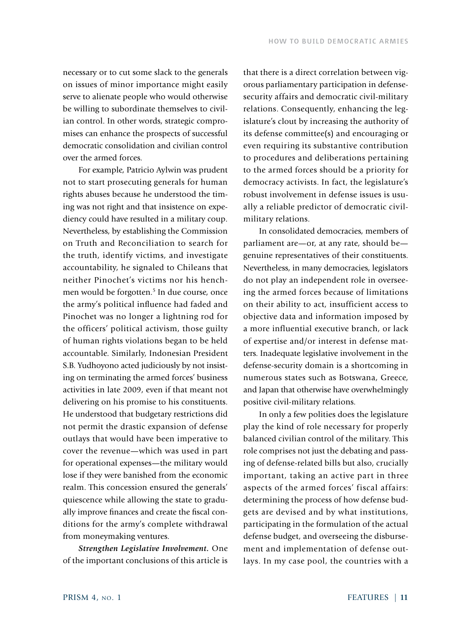necessary or to cut some slack to the generals on issues of minor importance might easily serve to alienate people who would otherwise be willing to subordinate themselves to civilian control. In other words, strategic compromises can enhance the prospects of successful democratic consolidation and civilian control over the armed forces.

For example, Patricio Aylwin was prudent not to start prosecuting generals for human rights abuses because he understood the timing was not right and that insistence on expediency could have resulted in a military coup. Nevertheless, by establishing the Commission on Truth and Reconciliation to search for the truth, identify victims, and investigate accountability, he signaled to Chileans that neither Pinochet's victims nor his henchmen would be forgotten.<sup>5</sup> In due course, once the army's political influence had faded and Pinochet was no longer a lightning rod for the officers' political activism, those guilty of human rights violations began to be held accountable. Similarly, Indonesian President S.B. Yudhoyono acted judiciously by not insisting on terminating the armed forces' business activities in late 2009, even if that meant not delivering on his promise to his constituents. He understood that budgetary restrictions did not permit the drastic expansion of defense outlays that would have been imperative to cover the revenue—which was used in part for operational expenses—the military would lose if they were banished from the economic realm. This concession ensured the generals' quiescence while allowing the state to gradually improve finances and create the fiscal conditions for the army's complete withdrawal from moneymaking ventures.

*Strengthen Legislative Involvement.* One of the important conclusions of this article is

that there is a direct correlation between vigorous parliamentary participation in defensesecurity affairs and democratic civil-military relations. Consequently, enhancing the legislature's clout by increasing the authority of its defense committee(s) and encouraging or even requiring its substantive contribution to procedures and deliberations pertaining to the armed forces should be a priority for democracy activists. In fact, the legislature's robust involvement in defense issues is usually a reliable predictor of democratic civilmilitary relations.

In consolidated democracies, members of parliament are—or, at any rate, should be genuine representatives of their constituents. Nevertheless, in many democracies, legislators do not play an independent role in overseeing the armed forces because of limitations on their ability to act, insufficient access to objective data and information imposed by a more influential executive branch, or lack of expertise and/or interest in defense matters. Inadequate legislative involvement in the defense-security domain is a shortcoming in numerous states such as Botswana, Greece, and Japan that otherwise have overwhelmingly positive civil-military relations.

In only a few polities does the legislature play the kind of role necessary for properly balanced civilian control of the military. This role comprises not just the debating and passing of defense-related bills but also, crucially important, taking an active part in three aspects of the armed forces' fiscal affairs: determining the process of how defense budgets are devised and by what institutions, participating in the formulation of the actual defense budget, and overseeing the disbursement and implementation of defense outlays. In my case pool, the countries with a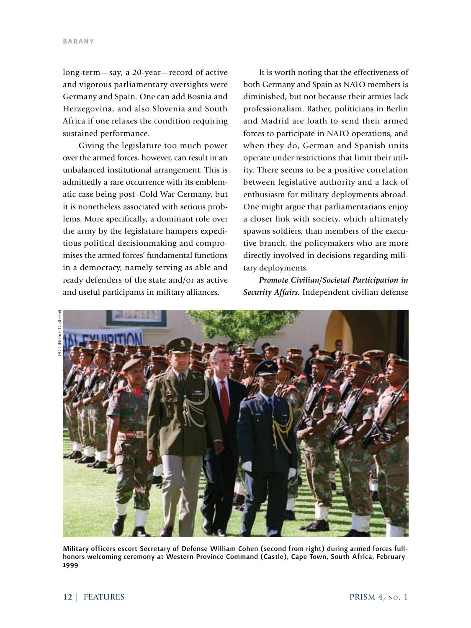long-term—say, a 20-year—record of active and vigorous parliamentary oversights were Germany and Spain. One can add Bosnia and Herzegovina, and also Slovenia and South Africa if one relaxes the condition requiring sustained performance.

Giving the legislature too much power over the armed forces, however, can result in an unbalanced institutional arrangement. This is admittedly a rare occurrence with its emblematic case being post–Cold War Germany, but it is nonetheless associated with serious problems. More specifically, a dominant role over the army by the legislature hampers expeditious political decisionmaking and compromises the armed forces' fundamental functions in a democracy, namely serving as able and ready defenders of the state and/or as active and useful participants in military alliances.

It is worth noting that the effectiveness of both Germany and Spain as NATO members is diminished, but not because their armies lack professionalism. Rather, politicians in Berlin and Madrid are loath to send their armed forces to participate in NATO operations, and when they do, German and Spanish units operate under restrictions that limit their utility. There seems to be a positive correlation between legislative authority and a lack of enthusiasm for military deployments abroad. One might argue that parliamentarians enjoy a closer link with society, which ultimately spawns soldiers, than members of the executive branch, the policymakers who are more directly involved in decisions regarding military deployments.

*Promote Civilian/Societal Participation in Security Affairs.* Independent civilian defense



Military officers escort Secretary of Defense William Cohen (second from right) during armed forces fullhonors welcoming ceremony at Western Province Command (Castle), Cape Town, South Africa, February 1999

## **12** | FEATURES PRISM 4, NO. 1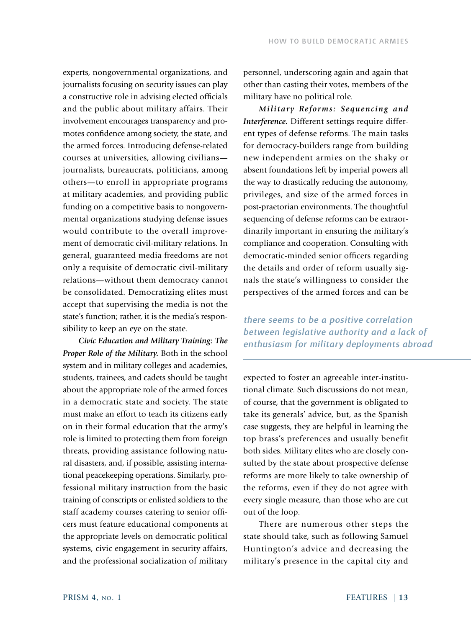experts, nongovernmental organizations, and journalists focusing on security issues can play a constructive role in advising elected officials and the public about military affairs. Their involvement encourages transparency and promotes confidence among society, the state, and the armed forces. Introducing defense-related courses at universities, allowing civilians journalists, bureaucrats, politicians, among others—to enroll in appropriate programs at military academies, and providing public funding on a competitive basis to nongovernmental organizations studying defense issues would contribute to the overall improvement of democratic civil-military relations. In general, guaranteed media freedoms are not only a requisite of democratic civil-military relations—without them democracy cannot be consolidated. Democratizing elites must accept that supervising the media is not the state's function; rather, it is the media's responsibility to keep an eye on the state.

*Civic Education and Military Training: The Proper Role of the Military.* Both in the school system and in military colleges and academies, students, trainees, and cadets should be taught about the appropriate role of the armed forces in a democratic state and society. The state must make an effort to teach its citizens early on in their formal education that the army's role is limited to protecting them from foreign threats, providing assistance following natural disasters, and, if possible, assisting international peacekeeping operations. Similarly, professional military instruction from the basic training of conscripts or enlisted soldiers to the staff academy courses catering to senior officers must feature educational components at the appropriate levels on democratic political systems, civic engagement in security affairs, and the professional socialization of military personnel, underscoring again and again that other than casting their votes, members of the military have no political role.

*Military Reforms: Sequencing and Interference.* Different settings require different types of defense reforms. The main tasks for democracy-builders range from building new independent armies on the shaky or absent foundations left by imperial powers all the way to drastically reducing the autonomy, privileges, and size of the armed forces in post-praetorian environments. The thoughtful sequencing of defense reforms can be extraordinarily important in ensuring the military's compliance and cooperation. Consulting with democratic-minded senior officers regarding the details and order of reform usually signals the state's willingness to consider the perspectives of the armed forces and can be

*there seems to be a positive correlation between legislative authority and a lack of enthusiasm for military deployments abroad*

expected to foster an agreeable inter-institutional climate. Such discussions do not mean, of course, that the government is obligated to take its generals' advice, but, as the Spanish case suggests, they are helpful in learning the top brass's preferences and usually benefit both sides. Military elites who are closely consulted by the state about prospective defense reforms are more likely to take ownership of the reforms, even if they do not agree with every single measure, than those who are cut out of the loop.

There are numerous other steps the state should take, such as following Samuel Huntington's advice and decreasing the military's presence in the capital city and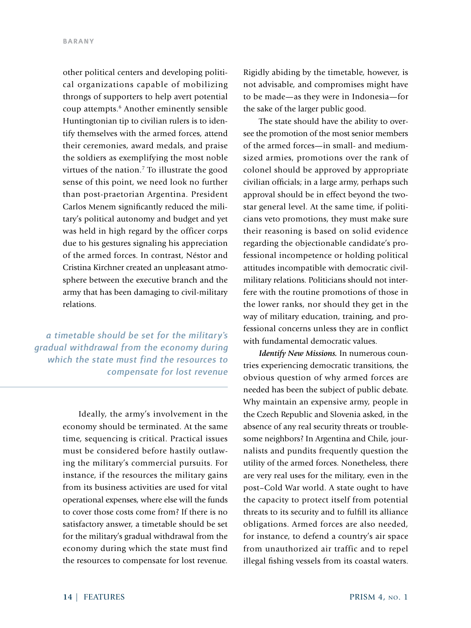other political centers and developing political organizations capable of mobilizing throngs of supporters to help avert potential coup attempts.<sup>6</sup> Another eminently sensible Huntingtonian tip to civilian rulers is to identify themselves with the armed forces, attend their ceremonies, award medals, and praise the soldiers as exemplifying the most noble virtues of the nation.7 To illustrate the good sense of this point, we need look no further than post-praetorian Argentina. President Carlos Menem significantly reduced the military's political autonomy and budget and yet was held in high regard by the officer corps due to his gestures signaling his appreciation of the armed forces. In contrast, Néstor and Cristina Kirchner created an unpleasant atmosphere between the executive branch and the army that has been damaging to civil-military relations.

*a timetable should be set for the military's gradual withdrawal from the economy during which the state must find the resources to compensate for lost revenue*

> Ideally, the army's involvement in the economy should be terminated. At the same time, sequencing is critical. Practical issues must be considered before hastily outlawing the military's commercial pursuits. For instance, if the resources the military gains from its business activities are used for vital operational expenses, where else will the funds to cover those costs come from? If there is no satisfactory answer, a timetable should be set for the military's gradual withdrawal from the economy during which the state must find the resources to compensate for lost revenue.

Rigidly abiding by the timetable, however, is not advisable, and compromises might have to be made—as they were in Indonesia—for the sake of the larger public good.

The state should have the ability to oversee the promotion of the most senior members of the armed forces—in small- and mediumsized armies, promotions over the rank of colonel should be approved by appropriate civilian officials; in a large army, perhaps such approval should be in effect beyond the twostar general level. At the same time, if politicians veto promotions, they must make sure their reasoning is based on solid evidence regarding the objectionable candidate's professional incompetence or holding political attitudes incompatible with democratic civilmilitary relations. Politicians should not interfere with the routine promotions of those in the lower ranks, nor should they get in the way of military education, training, and professional concerns unless they are in conflict with fundamental democratic values.

*Identify New Missions.* In numerous countries experiencing democratic transitions, the obvious question of why armed forces are needed has been the subject of public debate. Why maintain an expensive army, people in the Czech Republic and Slovenia asked, in the absence of any real security threats or troublesome neighbors? In Argentina and Chile, journalists and pundits frequently question the utility of the armed forces. Nonetheless, there are very real uses for the military, even in the post–Cold War world. A state ought to have the capacity to protect itself from potential threats to its security and to fulfill its alliance obligations. Armed forces are also needed, for instance, to defend a country's air space from unauthorized air traffic and to repel illegal fishing vessels from its coastal waters.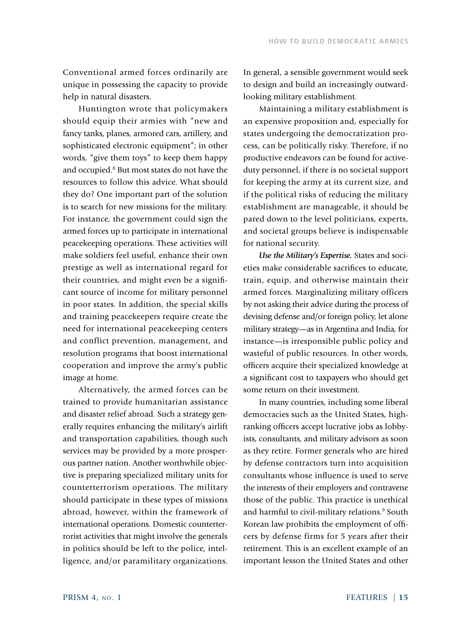Conventional armed forces ordinarily are unique in possessing the capacity to provide help in natural disasters.

Huntington wrote that policymakers should equip their armies with "new and fancy tanks, planes, armored cars, artillery, and sophisticated electronic equipment"; in other words, "give them toys" to keep them happy and occupied.<sup>8</sup> But most states do not have the resources to follow this advice. What should they do? One important part of the solution is to search for new missions for the military. For instance, the government could sign the armed forces up to participate in international peacekeeping operations. These activities will make soldiers feel useful, enhance their own prestige as well as international regard for their countries, and might even be a significant source of income for military personnel in poor states. In addition, the special skills and training peacekeepers require create the need for international peacekeeping centers and conflict prevention, management, and resolution programs that boost international cooperation and improve the army's public image at home.

Alternatively, the armed forces can be trained to provide humanitarian assistance and disaster relief abroad. Such a strategy generally requires enhancing the military's airlift and transportation capabilities, though such services may be provided by a more prosperous partner nation. Another worthwhile objective is preparing specialized military units for counterterrorism operations. The military should participate in these types of missions abroad, however, within the framework of international operations. Domestic counterterrorist activities that might involve the generals in politics should be left to the police, intelligence, and/or paramilitary organizations. In general, a sensible government would seek to design and build an increasingly outwardlooking military establishment.

Maintaining a military establishment is an expensive proposition and, especially for states undergoing the democratization process, can be politically risky. Therefore, if no productive endeavors can be found for activeduty personnel, if there is no societal support for keeping the army at its current size, and if the political risks of reducing the military establishment are manageable, it should be pared down to the level politicians, experts, and societal groups believe is indispensable for national security.

*Use the Military's Expertise.* States and societies make considerable sacrifices to educate, train, equip, and otherwise maintain their armed forces. Marginalizing military officers by not asking their advice during the process of devising defense and/or foreign policy, let alone military strategy—as in Argentina and India, for instance—is irresponsible public policy and wasteful of public resources. In other words, officers acquire their specialized knowledge at a significant cost to taxpayers who should get some return on their investment.

In many countries, including some liberal democracies such as the United States, highranking officers accept lucrative jobs as lobbyists, consultants, and military advisors as soon as they retire. Former generals who are hired by defense contractors turn into acquisition consultants whose influence is used to serve the interests of their employers and contravene those of the public. This practice is unethical and harmful to civil-military relations.<sup>9</sup> South Korean law prohibits the employment of officers by defense firms for 5 years after their retirement. This is an excellent example of an important lesson the United States and other